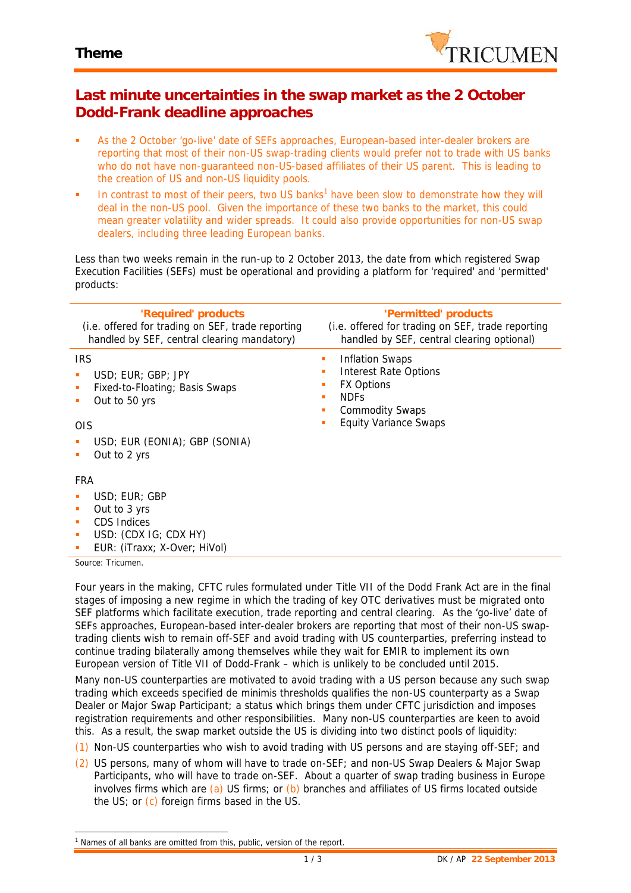

## **Last minute uncertainties in the swap market as the 2 October Dodd-Frank deadline approaches**

- As the 2 October 'go-live' date of SEFs approaches, European-based inter-dealer brokers are reporting that most of their non-US swap-trading clients would prefer not to trade with US banks who do not have non-guaranteed non-US-based affiliates of their US parent. This is leading to the creation of US and non-US liquidity pools.
- In contrast to most of their peers, two US banks<sup>1</sup> have been slow to demonstrate how they will deal in the non-US pool. Given the importance of these two banks to the market, this could mean greater volatility and wider spreads. It could also provide opportunities for non-US swap dealers, including three leading European banks.

Less than two weeks remain in the run-up to 2 October 2013, the date from which registered Swap Execution Facilities (SEFs) must be operational and providing a platform for 'required' and 'permitted' products:

| 'Required' products<br>(i.e. offered for trading on SEF, trade reporting<br>handled by SEF, central clearing mandatory) | 'Permitted' products<br>(i.e. offered for trading on SEF, trade reporting<br>handled by SEF, central clearing optional)                                 |
|-------------------------------------------------------------------------------------------------------------------------|---------------------------------------------------------------------------------------------------------------------------------------------------------|
| <b>IRS</b><br>USD; EUR; GBP; JPY<br>п<br>Fixed-to-Floating; Basis Swaps<br>п<br>Out to 50 yrs<br>п<br><b>OIS</b>        | Inflation Swaps<br>ш<br><b>Interest Rate Options</b><br><b>FX Options</b><br><b>NDFs</b><br>п<br><b>Commodity Swaps</b><br><b>Equity Variance Swaps</b> |
| USD; EUR (EONIA); GBP (SONIA)<br>Out to 2 yrs                                                                           |                                                                                                                                                         |
| FRA                                                                                                                     |                                                                                                                                                         |
| USD; EUR; GBP<br>Out to 3 yrs<br>п<br><b>CDS Indices</b><br>٠<br>USD: (CDX IG; CDX HY)                                  |                                                                                                                                                         |

EUR: (iTraxx; X-Over; HiVol)

*Source: Tricumen.*

Four years in the making, CFTC rules formulated under Title VII of the Dodd Frank Act are in the final stages of imposing a new regime in which the trading of key OTC derivatives must be migrated onto SEF platforms which facilitate execution, trade reporting and central clearing. As the 'go-live' date of SEFs approaches, European-based inter-dealer brokers are reporting that most of their non-US swaptrading clients wish to remain off-SEF and avoid trading with US counterparties, preferring instead to continue trading bilaterally among themselves while they wait for EMIR to implement its own European version of Title VII of Dodd-Frank – which is unlikely to be concluded until 2015.

Many non-US counterparties are motivated to avoid trading with a US person because any such swap trading which exceeds specified de minimis thresholds qualifies the non-US counterparty as a Swap Dealer or Major Swap Participant; a status which brings them under CFTC jurisdiction and imposes registration requirements and other responsibilities. Many non-US counterparties are keen to avoid this. As a result, the swap market outside the US is dividing into two distinct pools of liquidity:

(1) Non-US counterparties who wish to avoid trading with US persons and are staying off-SEF; and

(2) US persons, many of whom will have to trade on-SEF; and non-US Swap Dealers & Major Swap Participants, who will have to trade on-SEF. About a quarter of swap trading business in Europe involves firms which are  $(a)$  US firms; or  $(b)$  branches and affiliates of US firms located outside the US; or (c) foreign firms based in the US.

*<sup>1</sup> Names of all banks are omitted from this, public, version of the report.*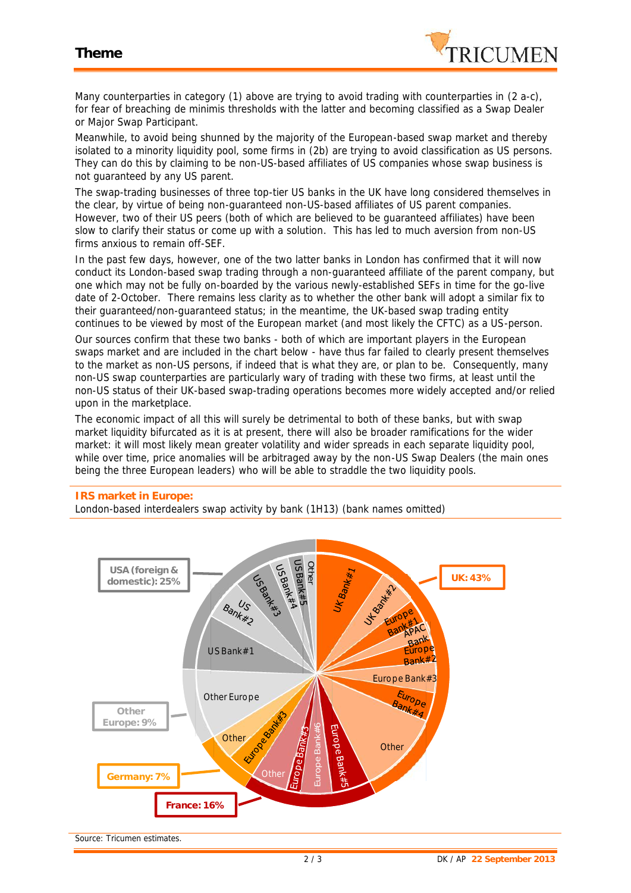

Many counterparties in category (1) above are trying to avoid trading with counterparties in (2 a-c), for fear of breaching de minimis thresholds with the latter and becoming classified as a Swap Dealer or Major Swap Participant.

Meanwhile, to avoid being shunned by the majority of the European-based swap market and thereby isolated to a minority liquidity pool, some firms in (2b) are trying to avoid classification as US persons. They can do this by claiming to be non-US-based affiliates of US companies whose swap business is not guaranteed by any US parent.

The swap-trading businesses of three top-tier US banks in the UK have long considered themselves in the clear, by virtue of being non-guaranteed non-US-based affiliates of US parent companies. However, two of their US peers (both of which are believed to be guaranteed affiliates) have been slow to clarify their status or come up with a solution. This has led to much aversion from non-US firms anxious to remain off-SEF.

In the past few days, however, one of the two latter banks in London has confirmed that it will now conduct its London-based swap trading through a non-guaranteed affiliate of the parent company, but one which may not be fully on-boarded by the various newly-established SEFs in time for the go-live date of 2-October. There remains less clarity as to whether the other bank will adopt a similar fix to their guaranteed/non-guaranteed status; in the meantime, the UK-based swap trading entity continues to be viewed by most of the European market (and most likely the CFTC) as a US-person.

Our sources confirm that these two banks - both of which are important players in the European swaps market and are included in the chart below - have thus far failed to clearly present themselves to the market as non-US persons, if indeed that is what they are, or plan to be. Consequently, many non-US swap counterparties are particularly wary of trading with these two firms, at least until the non-US status of their UK-based swap-trading operations becomes more widely accepted and/or relied upon in the marketplace.

The economic impact of all this will surely be detrimental to both of these banks, but with swap market liquidity bifurcated as it is at present, there will also be broader ramifications for the wider market: it will most likely mean greater volatility and wider spreads in each separate liquidity pool, while over time, price anomalies will be arbitraged away by the non-US Swap Dealers (the main ones being the three European leaders) who will be able to straddle the two liquidity pools.

## **IRS market in Europe:**

London-based interdealers swap activity by bank (1H13) (bank names omitted)